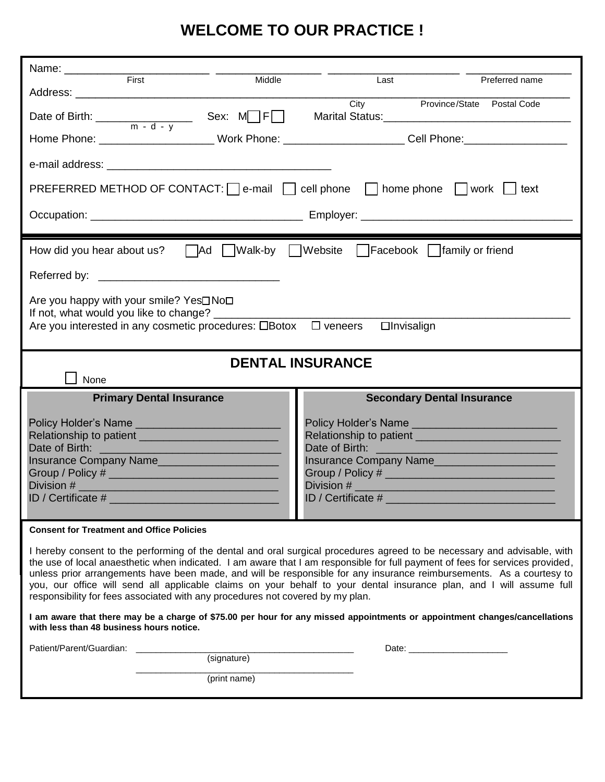## **WELCOME TO OUR PRACTICE !**

| Name: 2008 - 2008 - 2010 - 2010 - 2010 - 2010 - 2010 - 2010 - 2010 - 2010 - 2010 - 2010 - 2010 - 2010 - 2010 -<br>First<br>Middle | Last<br>Preferred name                                                                                                                                                                                                                                                                                                                                                                                                                                                                                    |  |  |  |  |
|-----------------------------------------------------------------------------------------------------------------------------------|-----------------------------------------------------------------------------------------------------------------------------------------------------------------------------------------------------------------------------------------------------------------------------------------------------------------------------------------------------------------------------------------------------------------------------------------------------------------------------------------------------------|--|--|--|--|
|                                                                                                                                   |                                                                                                                                                                                                                                                                                                                                                                                                                                                                                                           |  |  |  |  |
| Date of Birth: $\frac{m - d - v}{m - d - v}$ Sex: M F                                                                             | City Province/State Postal Code                                                                                                                                                                                                                                                                                                                                                                                                                                                                           |  |  |  |  |
|                                                                                                                                   | Home Phone: ___________________________Work Phone: _________________________Cell Phone: ______________________                                                                                                                                                                                                                                                                                                                                                                                            |  |  |  |  |
|                                                                                                                                   |                                                                                                                                                                                                                                                                                                                                                                                                                                                                                                           |  |  |  |  |
| PREFERRED METHOD OF CONTACT: $\Box$ e-mail $\Box$ cell phone $\Box$ home phone $\Box$ work $\Box$ text                            |                                                                                                                                                                                                                                                                                                                                                                                                                                                                                                           |  |  |  |  |
|                                                                                                                                   |                                                                                                                                                                                                                                                                                                                                                                                                                                                                                                           |  |  |  |  |
|                                                                                                                                   |                                                                                                                                                                                                                                                                                                                                                                                                                                                                                                           |  |  |  |  |
| How did you hear about us? $\Box$ Ad $\Box$ Walk-by $\Box$ Website $\Box$ Facebook $\Box$ family or friend                        |                                                                                                                                                                                                                                                                                                                                                                                                                                                                                                           |  |  |  |  |
|                                                                                                                                   |                                                                                                                                                                                                                                                                                                                                                                                                                                                                                                           |  |  |  |  |
| Are you happy with your smile? Yes <sup>[1</sup> No <sup>[1</sup> ]                                                               |                                                                                                                                                                                                                                                                                                                                                                                                                                                                                                           |  |  |  |  |
| If not, what would you like to change? _<br>Are you interested in any cosmetic procedures: $\Box$ Botox $\Box$ veneers            | <b>Olnvisalign</b>                                                                                                                                                                                                                                                                                                                                                                                                                                                                                        |  |  |  |  |
|                                                                                                                                   |                                                                                                                                                                                                                                                                                                                                                                                                                                                                                                           |  |  |  |  |
| <b>DENTAL INSURANCE</b>                                                                                                           |                                                                                                                                                                                                                                                                                                                                                                                                                                                                                                           |  |  |  |  |
| None                                                                                                                              |                                                                                                                                                                                                                                                                                                                                                                                                                                                                                                           |  |  |  |  |
|                                                                                                                                   |                                                                                                                                                                                                                                                                                                                                                                                                                                                                                                           |  |  |  |  |
| <b>Primary Dental Insurance</b>                                                                                                   | <b>Secondary Dental Insurance</b>                                                                                                                                                                                                                                                                                                                                                                                                                                                                         |  |  |  |  |
|                                                                                                                                   |                                                                                                                                                                                                                                                                                                                                                                                                                                                                                                           |  |  |  |  |
| Date of Birth:<br><u> 1989 - Johann Barn, mars eta bainar eta hiri (h. 1989).</u>                                                 |                                                                                                                                                                                                                                                                                                                                                                                                                                                                                                           |  |  |  |  |
| Insurance Company Name                                                                                                            | Insurance Company Name                                                                                                                                                                                                                                                                                                                                                                                                                                                                                    |  |  |  |  |
| Division #                                                                                                                        | Division #                                                                                                                                                                                                                                                                                                                                                                                                                                                                                                |  |  |  |  |
| ID / Certificate #                                                                                                                | ID / Certificate #                                                                                                                                                                                                                                                                                                                                                                                                                                                                                        |  |  |  |  |
| <b>Consent for Treatment and Office Policies</b>                                                                                  |                                                                                                                                                                                                                                                                                                                                                                                                                                                                                                           |  |  |  |  |
| responsibility for fees associated with any procedures not covered by my plan.                                                    | I hereby consent to the performing of the dental and oral surgical procedures agreed to be necessary and advisable, with<br>the use of local anaesthetic when indicated. I am aware that I am responsible for full payment of fees for services provided,<br>unless prior arrangements have been made, and will be responsible for any insurance reimbursements. As a courtesy to<br>you, our office will send all applicable claims on your behalf to your dental insurance plan, and I will assume full |  |  |  |  |
| with less than 48 business hours notice.                                                                                          | I am aware that there may be a charge of \$75.00 per hour for any missed appointments or appointment changes/cancellations                                                                                                                                                                                                                                                                                                                                                                                |  |  |  |  |
| Patient/Parent/Guardian:<br>(signature)                                                                                           |                                                                                                                                                                                                                                                                                                                                                                                                                                                                                                           |  |  |  |  |
| (print name)                                                                                                                      |                                                                                                                                                                                                                                                                                                                                                                                                                                                                                                           |  |  |  |  |